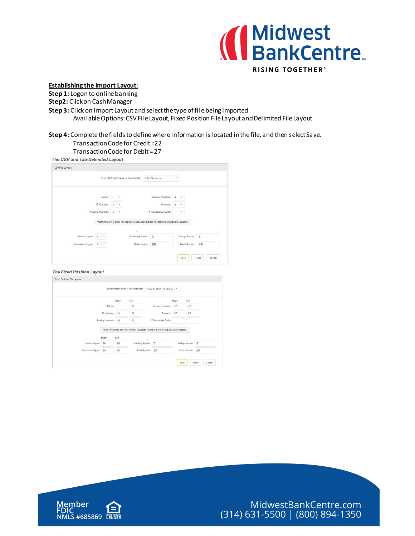

## **Establishing the Import Layout:**

**Step 1:** Logon to online banking

**Step2:** Click on Cash Manager

**Step 3:** Click on Import Layout and select the type of file being imported

Available Options: CSV File Layout, Fixed Position File Layout and Delimited File Layout

# **Step 4:** Complete the fields to define where information is located in the file, and then select Save.

## Transaction Code for Credit =22

TransactionCode for Debit = 27

The CSV and Tab-Delimited Layout

|                   |                                    |                   |                |              | Select Upload Format to Create/Edit: |                                  | CSV File Layout                                                                            | w |                 |    |  |
|-------------------|------------------------------------|-------------------|----------------|--------------|--------------------------------------|----------------------------------|--------------------------------------------------------------------------------------------|---|-----------------|----|--|
|                   |                                    |                   |                | $\mathbf v$  |                                      |                                  | Account Number:                                                                            | 4 | $\mathbf{v}$    |    |  |
|                   | Name:                              |                   |                |              |                                      |                                  |                                                                                            |   |                 |    |  |
|                   |                                    | <b>ID Number:</b> | $\overline{2}$ | ۷            |                                      |                                  | Amount:                                                                                    | 5 | ٠               |    |  |
|                   | <b>Routing Number:</b>             |                   |                | $\mathbf{v}$ | * Transaction Code:                  |                                  |                                                                                            |   | ٠               |    |  |
|                   |                                    |                   |                |              |                                      |                                  | *Note: If your file does not contain Transaction Codes, the following fields are required: |   |                 |    |  |
|                   |                                    |                   |                |              |                                      |                                  |                                                                                            |   |                 |    |  |
|                   |                                    |                   |                |              | ٠                                    |                                  |                                                                                            |   |                 |    |  |
|                   | Account Type:<br>6<br>$\mathbf{v}$ |                   |                |              |                                      | Checking Equals:<br>$\mathbb{C}$ |                                                                                            |   | Savings Equals: | S  |  |
| Transaction Type: | 7                                  | ×                 |                |              | Debit Equals:                        |                                  | <b>DR</b>                                                                                  |   | Credit Equals:  | CR |  |

#### The Fixed Position Layout

|                          |                        |              | Select Upload Format to Create/Edit: | Fixed Position File Layout                                                                 | $\;$ $\;$ |                             |
|--------------------------|------------------------|--------------|--------------------------------------|--------------------------------------------------------------------------------------------|-----------|-----------------------------|
|                          |                        | Begin        | End                                  |                                                                                            | Begin     | End                         |
|                          | Name:                  | $\mathbf{1}$ | 30                                   | Account Number:                                                                            | 37        | 47                          |
|                          | ID Number:             | 31           | 36                                   | Amount:                                                                                    | 57        | 67                          |
|                          | <b>Routing Number:</b> | 48           | 56                                   | * Transaction Code:                                                                        |           |                             |
|                          |                        |              |                                      | *Note: If your file does not contain Transaction Codes, the following fields are required: |           |                             |
|                          | Begin                  | End          |                                      | ٠                                                                                          |           |                             |
| Account Type:            | 68                     | 68           | <b>Checking Equals:</b>              | $\mathsf{C}$                                                                               |           | Savings Equals:<br><b>S</b> |
| <b>Transaction Type:</b> | 69                     | 70           | Debit Equals:                        | <b>DR</b>                                                                                  |           | Credit Equals:<br>CR        |
|                          |                        |              |                                      |                                                                                            |           |                             |
|                          |                        |              |                                      |                                                                                            |           | Reset<br>Save<br>Cancel     |

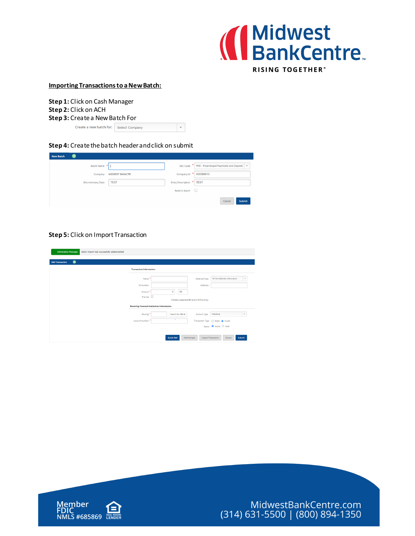

### **Importing Transactions to a New Batch:**

**Step 1:** Click on Cash Manager **Step 2:** Click on ACH **Step 3:** Create a New Batch For Create a new batch for: Select Company

**Step 4:** Create the batch header and click on submit

| <b>New Batch</b>          |                        |                          |                                             |
|---------------------------|------------------------|--------------------------|---------------------------------------------|
| Batch Name                |                        | <b>SEC Code</b>          | PPD - Prearranged Payments and Deposits   v |
| Company                   | <b>MIDWEST BANKCTR</b> | Company Id               | 430368910                                   |
| <b>Discretionary Data</b> | <b>TEST</b>            | Entry Description * TEST |                                             |
|                           |                        | <b>Restrict Batch</b>    | U                                           |
|                           |                        |                          | Submit<br>Cancel                            |

 $\vert$   $\star$ 

## **Step 5:** Click on Import Transaction

| <b>Information Message:</b><br>Batch Import test successfully added/edited |                                 |                                                     |                                              |                                               |
|----------------------------------------------------------------------------|---------------------------------|-----------------------------------------------------|----------------------------------------------|-----------------------------------------------|
| 0<br><b>Add Transaction</b>                                                |                                 |                                                     |                                              |                                               |
|                                                                            | <b>Transaction Information:</b> |                                                     |                                              |                                               |
|                                                                            | Name                            |                                                     | Addenda Type                                 | 00-No Addenda Information                     |
|                                                                            | <b>ID Number</b>                |                                                     | Addenda                                      |                                               |
|                                                                            | Amount                          | 00<br>٥                                             |                                              |                                               |
|                                                                            | Prenote $\square$               |                                                     | Creates a separate \$0 record of this entry. |                                               |
|                                                                            |                                 | <b>Receiving Financial Institution Information:</b> |                                              |                                               |
|                                                                            | Routing                         | Search for ABA #                                    | Account Type                                 | Checking<br>$\mathbf{v}$                      |
|                                                                            | <b>Account Number</b>           | ÷                                                   |                                              | Transaction Type ( Debit ( Credit             |
|                                                                            |                                 |                                                     |                                              | Status <sup>@</sup> Active O Hold             |
|                                                                            |                                 | <b>Quick Add</b>                                    | Add Multiple                                 | <b>Import Transaction</b><br>Submit<br>Cancel |